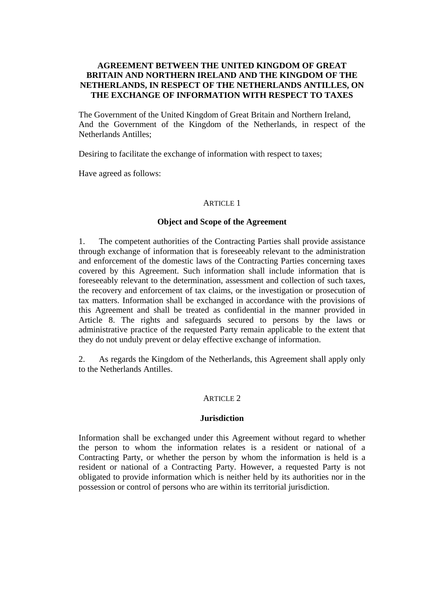# **AGREEMENT BETWEEN THE UNITED KINGDOM OF GREAT BRITAIN AND NORTHERN IRELAND AND THE KINGDOM OF THE NETHERLANDS, IN RESPECT OF THE NETHERLANDS ANTILLES, ON THE EXCHANGE OF INFORMATION WITH RESPECT TO TAXES**

The Government of the United Kingdom of Great Britain and Northern Ireland, And the Government of the Kingdom of the Netherlands, in respect of the Netherlands Antilles;

Desiring to facilitate the exchange of information with respect to taxes;

Have agreed as follows:

### ARTICLE 1

### **Object and Scope of the Agreement**

1. The competent authorities of the Contracting Parties shall provide assistance through exchange of information that is foreseeably relevant to the administration and enforcement of the domestic laws of the Contracting Parties concerning taxes covered by this Agreement. Such information shall include information that is foreseeably relevant to the determination, assessment and collection of such taxes, the recovery and enforcement of tax claims, or the investigation or prosecution of tax matters. Information shall be exchanged in accordance with the provisions of this Agreement and shall be treated as confidential in the manner provided in Article 8. The rights and safeguards secured to persons by the laws or administrative practice of the requested Party remain applicable to the extent that they do not unduly prevent or delay effective exchange of information.

2. As regards the Kingdom of the Netherlands, this Agreement shall apply only to the Netherlands Antilles.

#### ARTICLE 2

## **Jurisdiction**

Information shall be exchanged under this Agreement without regard to whether the person to whom the information relates is a resident or national of a Contracting Party, or whether the person by whom the information is held is a resident or national of a Contracting Party. However, a requested Party is not obligated to provide information which is neither held by its authorities nor in the possession or control of persons who are within its territorial jurisdiction.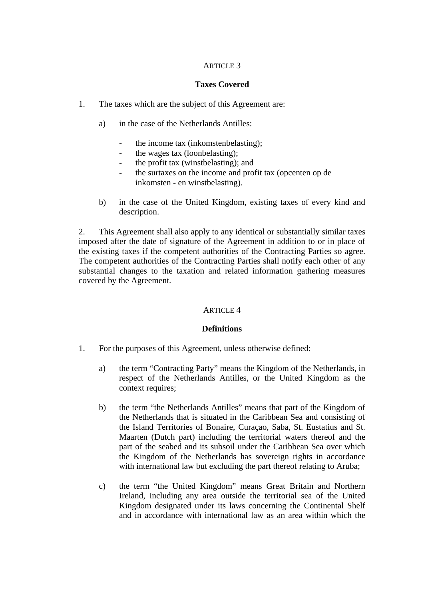## ARTICLE 3

## **Taxes Covered**

- 1. The taxes which are the subject of this Agreement are:
	- a) in the case of the Netherlands Antilles:
		- the income tax (inkomstenbelasting);
		- the wages tax (loonbelasting);
		- the profit tax (winstbelasting); and
		- the surtaxes on the income and profit tax (opcenten op de inkomsten - en winstbelasting).
	- b) in the case of the United Kingdom, existing taxes of every kind and description.

2. This Agreement shall also apply to any identical or substantially similar taxes imposed after the date of signature of the Agreement in addition to or in place of the existing taxes if the competent authorities of the Contracting Parties so agree. The competent authorities of the Contracting Parties shall notify each other of any substantial changes to the taxation and related information gathering measures covered by the Agreement.

## ARTICLE 4

## **Definitions**

- 1. For the purposes of this Agreement, unless otherwise defined:
	- a) the term "Contracting Party" means the Kingdom of the Netherlands, in respect of the Netherlands Antilles, or the United Kingdom as the context requires:
	- b) the term "the Netherlands Antilles" means that part of the Kingdom of the Netherlands that is situated in the Caribbean Sea and consisting of the Island Territories of Bonaire, Curaçao, Saba, St. Eustatius and St. Maarten (Dutch part) including the territorial waters thereof and the part of the seabed and its subsoil under the Caribbean Sea over which the Kingdom of the Netherlands has sovereign rights in accordance with international law but excluding the part thereof relating to Aruba;
	- c) the term "the United Kingdom" means Great Britain and Northern Ireland, including any area outside the territorial sea of the United Kingdom designated under its laws concerning the Continental Shelf and in accordance with international law as an area within which the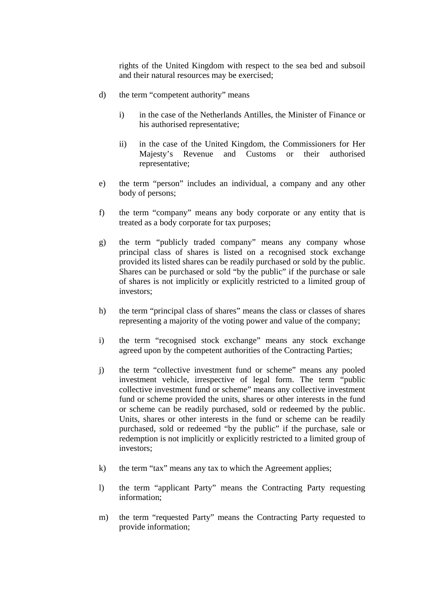rights of the United Kingdom with respect to the sea bed and subsoil and their natural resources may be exercised;

- d) the term "competent authority" means
	- i) in the case of the Netherlands Antilles, the Minister of Finance or his authorised representative;
	- ii) in the case of the United Kingdom, the Commissioners for Her Majesty's Revenue and Customs or their authorised representative;
- e) the term "person" includes an individual, a company and any other body of persons;
- f) the term "company" means any body corporate or any entity that is treated as a body corporate for tax purposes;
- g) the term "publicly traded company" means any company whose principal class of shares is listed on a recognised stock exchange provided its listed shares can be readily purchased or sold by the public. Shares can be purchased or sold "by the public" if the purchase or sale of shares is not implicitly or explicitly restricted to a limited group of investors;
- h) the term "principal class of shares" means the class or classes of shares representing a majority of the voting power and value of the company;
- i) the term "recognised stock exchange" means any stock exchange agreed upon by the competent authorities of the Contracting Parties;
- j) the term "collective investment fund or scheme" means any pooled investment vehicle, irrespective of legal form. The term "public collective investment fund or scheme" means any collective investment fund or scheme provided the units, shares or other interests in the fund or scheme can be readily purchased, sold or redeemed by the public. Units, shares or other interests in the fund or scheme can be readily purchased, sold or redeemed "by the public" if the purchase, sale or redemption is not implicitly or explicitly restricted to a limited group of investors;
- k) the term "tax" means any tax to which the Agreement applies;
- l) the term "applicant Party" means the Contracting Party requesting information;
- m) the term "requested Party" means the Contracting Party requested to provide information;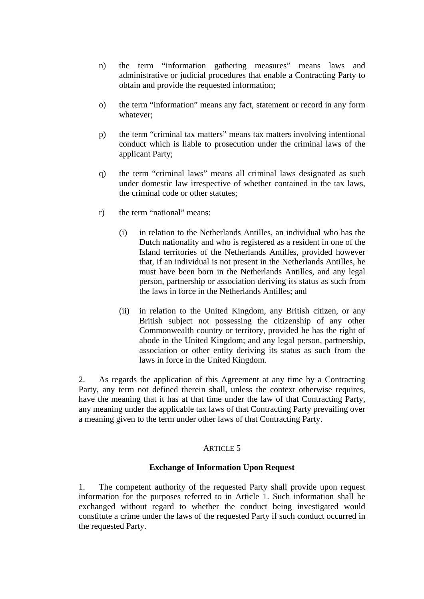- n) the term "information gathering measures" means laws and administrative or judicial procedures that enable a Contracting Party to obtain and provide the requested information;
- o) the term "information" means any fact, statement or record in any form whatever;
- p) the term "criminal tax matters" means tax matters involving intentional conduct which is liable to prosecution under the criminal laws of the applicant Party;
- q) the term "criminal laws" means all criminal laws designated as such under domestic law irrespective of whether contained in the tax laws, the criminal code or other statutes;
- r) the term "national" means:
	- (i) in relation to the Netherlands Antilles, an individual who has the Dutch nationality and who is registered as a resident in one of the Island territories of the Netherlands Antilles, provided however that, if an individual is not present in the Netherlands Antilles, he must have been born in the Netherlands Antilles, and any legal person, partnership or association deriving its status as such from the laws in force in the Netherlands Antilles; and
	- (ii) in relation to the United Kingdom, any British citizen, or any British subject not possessing the citizenship of any other Commonwealth country or territory, provided he has the right of abode in the United Kingdom; and any legal person, partnership, association or other entity deriving its status as such from the laws in force in the United Kingdom.

2. As regards the application of this Agreement at any time by a Contracting Party, any term not defined therein shall, unless the context otherwise requires, have the meaning that it has at that time under the law of that Contracting Party, any meaning under the applicable tax laws of that Contracting Party prevailing over a meaning given to the term under other laws of that Contracting Party.

## ARTICLE<sub>5</sub>

## **Exchange of Information Upon Request**

1. The competent authority of the requested Party shall provide upon request information for the purposes referred to in Article 1. Such information shall be exchanged without regard to whether the conduct being investigated would constitute a crime under the laws of the requested Party if such conduct occurred in the requested Party.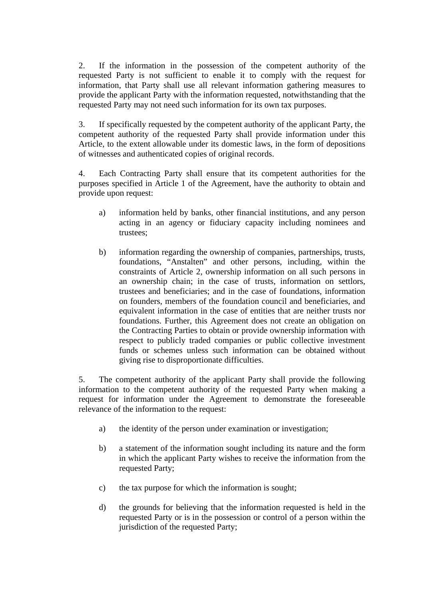2. If the information in the possession of the competent authority of the requested Party is not sufficient to enable it to comply with the request for information, that Party shall use all relevant information gathering measures to provide the applicant Party with the information requested, notwithstanding that the requested Party may not need such information for its own tax purposes.

3. If specifically requested by the competent authority of the applicant Party, the competent authority of the requested Party shall provide information under this Article, to the extent allowable under its domestic laws, in the form of depositions of witnesses and authenticated copies of original records.

4. Each Contracting Party shall ensure that its competent authorities for the purposes specified in Article 1 of the Agreement, have the authority to obtain and provide upon request:

- a) information held by banks, other financial institutions, and any person acting in an agency or fiduciary capacity including nominees and trustees;
- b) information regarding the ownership of companies, partnerships, trusts, foundations, "Anstalten" and other persons, including, within the constraints of Article 2, ownership information on all such persons in an ownership chain; in the case of trusts, information on settlors, trustees and beneficiaries; and in the case of foundations, information on founders, members of the foundation council and beneficiaries, and equivalent information in the case of entities that are neither trusts nor foundations. Further, this Agreement does not create an obligation on the Contracting Parties to obtain or provide ownership information with respect to publicly traded companies or public collective investment funds or schemes unless such information can be obtained without giving rise to disproportionate difficulties.

5. The competent authority of the applicant Party shall provide the following information to the competent authority of the requested Party when making a request for information under the Agreement to demonstrate the foreseeable relevance of the information to the request:

- a) the identity of the person under examination or investigation;
- b) a statement of the information sought including its nature and the form in which the applicant Party wishes to receive the information from the requested Party;
- c) the tax purpose for which the information is sought;
- d) the grounds for believing that the information requested is held in the requested Party or is in the possession or control of a person within the jurisdiction of the requested Party;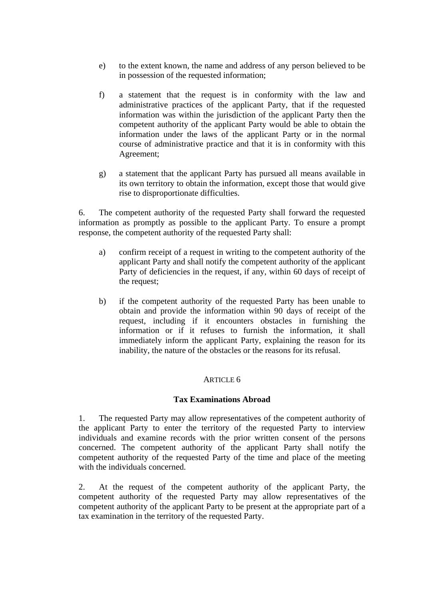- e) to the extent known, the name and address of any person believed to be in possession of the requested information;
- f) a statement that the request is in conformity with the law and administrative practices of the applicant Party, that if the requested information was within the jurisdiction of the applicant Party then the competent authority of the applicant Party would be able to obtain the information under the laws of the applicant Party or in the normal course of administrative practice and that it is in conformity with this Agreement;
- g) a statement that the applicant Party has pursued all means available in its own territory to obtain the information, except those that would give rise to disproportionate difficulties.

6. The competent authority of the requested Party shall forward the requested information as promptly as possible to the applicant Party. To ensure a prompt response, the competent authority of the requested Party shall:

- a) confirm receipt of a request in writing to the competent authority of the applicant Party and shall notify the competent authority of the applicant Party of deficiencies in the request, if any, within 60 days of receipt of the request;
- b) if the competent authority of the requested Party has been unable to obtain and provide the information within 90 days of receipt of the request, including if it encounters obstacles in furnishing the information or if it refuses to furnish the information, it shall immediately inform the applicant Party, explaining the reason for its inability, the nature of the obstacles or the reasons for its refusal.

# ARTICLE 6

## **Tax Examinations Abroad**

1. The requested Party may allow representatives of the competent authority of the applicant Party to enter the territory of the requested Party to interview individuals and examine records with the prior written consent of the persons concerned. The competent authority of the applicant Party shall notify the competent authority of the requested Party of the time and place of the meeting with the individuals concerned.

2. At the request of the competent authority of the applicant Party, the competent authority of the requested Party may allow representatives of the competent authority of the applicant Party to be present at the appropriate part of a tax examination in the territory of the requested Party.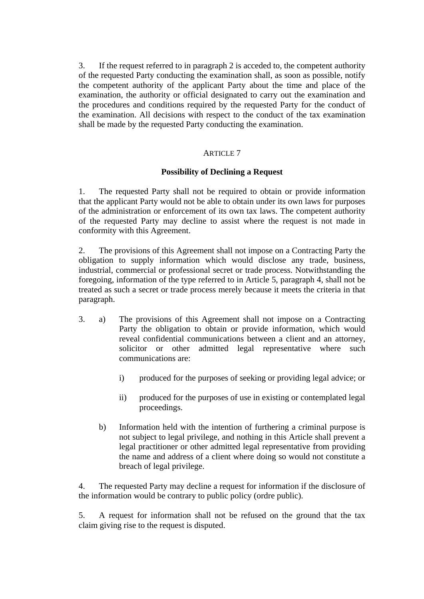3. If the request referred to in paragraph 2 is acceded to, the competent authority of the requested Party conducting the examination shall, as soon as possible, notify the competent authority of the applicant Party about the time and place of the examination, the authority or official designated to carry out the examination and the procedures and conditions required by the requested Party for the conduct of the examination. All decisions with respect to the conduct of the tax examination shall be made by the requested Party conducting the examination.

# ARTICLE 7

# **Possibility of Declining a Request**

1. The requested Party shall not be required to obtain or provide information that the applicant Party would not be able to obtain under its own laws for purposes of the administration or enforcement of its own tax laws. The competent authority of the requested Party may decline to assist where the request is not made in conformity with this Agreement.

2. The provisions of this Agreement shall not impose on a Contracting Party the obligation to supply information which would disclose any trade, business, industrial, commercial or professional secret or trade process. Notwithstanding the foregoing, information of the type referred to in Article 5, paragraph 4, shall not be treated as such a secret or trade process merely because it meets the criteria in that paragraph.

- 3. a) The provisions of this Agreement shall not impose on a Contracting Party the obligation to obtain or provide information, which would reveal confidential communications between a client and an attorney, solicitor or other admitted legal representative where such communications are:
	- i) produced for the purposes of seeking or providing legal advice; or
	- ii) produced for the purposes of use in existing or contemplated legal proceedings.
	- b) Information held with the intention of furthering a criminal purpose is not subject to legal privilege, and nothing in this Article shall prevent a legal practitioner or other admitted legal representative from providing the name and address of a client where doing so would not constitute a breach of legal privilege.

4. The requested Party may decline a request for information if the disclosure of the information would be contrary to public policy (ordre public).

5. A request for information shall not be refused on the ground that the tax claim giving rise to the request is disputed.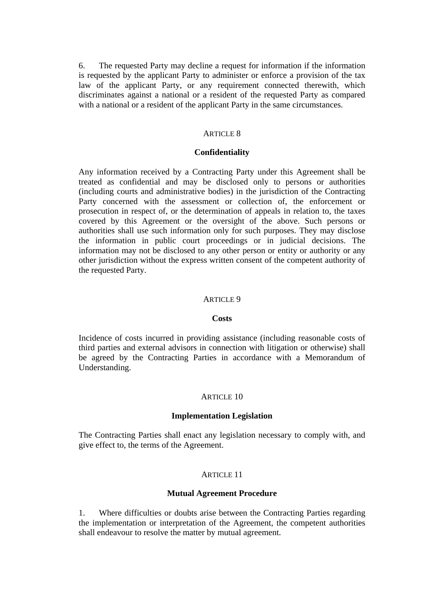6. The requested Party may decline a request for information if the information is requested by the applicant Party to administer or enforce a provision of the tax law of the applicant Party, or any requirement connected therewith, which discriminates against a national or a resident of the requested Party as compared with a national or a resident of the applicant Party in the same circumstances.

#### ARTICLE 8

### **Confidentiality**

Any information received by a Contracting Party under this Agreement shall be treated as confidential and may be disclosed only to persons or authorities (including courts and administrative bodies) in the jurisdiction of the Contracting Party concerned with the assessment or collection of, the enforcement or prosecution in respect of, or the determination of appeals in relation to, the taxes covered by this Agreement or the oversight of the above. Such persons or authorities shall use such information only for such purposes. They may disclose the information in public court proceedings or in judicial decisions. The information may not be disclosed to any other person or entity or authority or any other jurisdiction without the express written consent of the competent authority of the requested Party.

#### ARTICLE 9

#### **Costs**

Incidence of costs incurred in providing assistance (including reasonable costs of third parties and external advisors in connection with litigation or otherwise) shall be agreed by the Contracting Parties in accordance with a Memorandum of Understanding.

#### ARTICLE 10

#### **Implementation Legislation**

The Contracting Parties shall enact any legislation necessary to comply with, and give effect to, the terms of the Agreement.

### ARTICLE 11

#### **Mutual Agreement Procedure**

1. Where difficulties or doubts arise between the Contracting Parties regarding the implementation or interpretation of the Agreement, the competent authorities shall endeavour to resolve the matter by mutual agreement.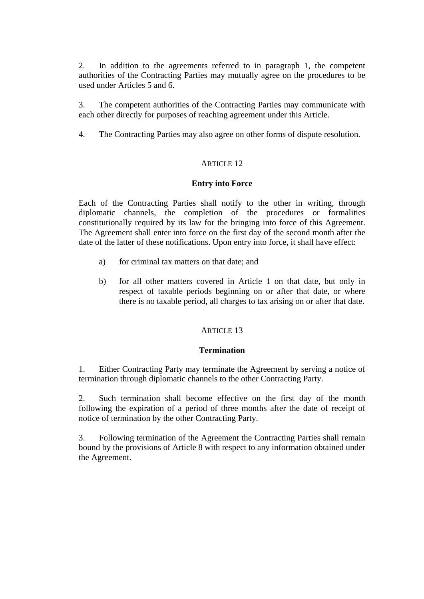2. In addition to the agreements referred to in paragraph 1, the competent authorities of the Contracting Parties may mutually agree on the procedures to be used under Articles 5 and 6.

3. The competent authorities of the Contracting Parties may communicate with each other directly for purposes of reaching agreement under this Article.

4. The Contracting Parties may also agree on other forms of dispute resolution.

# ARTICLE 12

# **Entry into Force**

Each of the Contracting Parties shall notify to the other in writing, through diplomatic channels, the completion of the procedures or formalities constitutionally required by its law for the bringing into force of this Agreement. The Agreement shall enter into force on the first day of the second month after the date of the latter of these notifications. Upon entry into force, it shall have effect:

- a) for criminal tax matters on that date; and
- b) for all other matters covered in Article 1 on that date, but only in respect of taxable periods beginning on or after that date, or where there is no taxable period, all charges to tax arising on or after that date.

## ARTICLE 13

## **Termination**

1. Either Contracting Party may terminate the Agreement by serving a notice of termination through diplomatic channels to the other Contracting Party.

2. Such termination shall become effective on the first day of the month following the expiration of a period of three months after the date of receipt of notice of termination by the other Contracting Party.

3. Following termination of the Agreement the Contracting Parties shall remain bound by the provisions of Article 8 with respect to any information obtained under the Agreement.